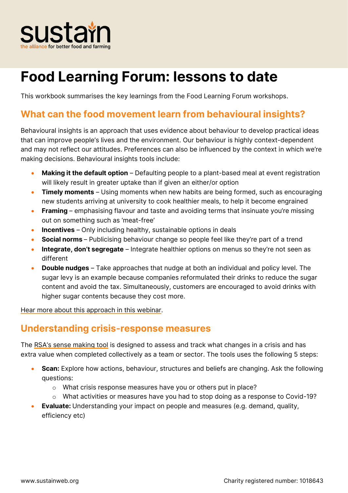

# **Food Learning Forum: lessons to date**

**This workbook summarises the key learnings from the Food Learning Forum workshops.**

### **What can the food movement learn from behavioural insights?**

**Behavioural insights is an approach that uses evidence about behaviour to develop practical ideas that can improve people's lives and the environment. Our behaviour is highly context-dependent and may not reflect our attitudes. Preferences can also be influenced by the context in which we're making decisions. Behavioural insights tools include:**

- **Making it the default option – Defaulting people to a plant-based meal at event registration will likely result in greater uptake than if given an either/or option**
- **Timely moments – Using moments when new habits are being formed, such as encouraging new students arriving at university to cook healthier meals, to help it become engrained**
- **Framing – emphasising flavour and taste and avoiding terms that insinuate you're missing out on something such as 'meat-free'**
- **Incentives – Only including healthy, sustainable options in deals**
- **Social norms – Publicising behaviour change so people feel like they're part of a trend**
- **Integrate, don't segregate** Integrate healthier options on menus so they're not seen as **different**
- **Double nudges – Take approaches that nudge at both an individual and policy level. The sugar levy is an example because companies reformulated their drinks to reduce the sugar content and avoid the tax. Simultaneously, customers are encouraged to avoid drinks with higher sugar contents because they cost more.**

**[Hear more about this approach in this webinar.](https://www.sustainweb.org/webinars/feb20-beyond-nudges/)** 

### **Understanding crisis-response measures**

**The RSA['s sense making tool](https://www.thersa.org/contentassets/007f26fb853f4f118994b819b658b331/understanding-crisis-response-measures.pdf) is designed to assess and track what changes in a crisis and has extra value when completed collectively as a team or sector. The tools uses the following 5 steps:**

- **Scan: Explore how actions, behaviour, structures and beliefs are changing. Ask the following questions:**
	- o **What crisis response measures have you or others put in place?**
	- o **What activities or measures have you had to stop doing as a response to Covid-19?**
- **Evaluate: Understanding your impact on people and measures (e.g. demand, quality, efficiency etc)**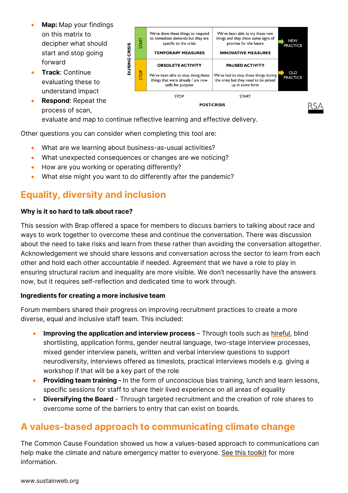- **Map: Map your findings on this matrix to decipher what should start and stop going forward**
- **Track: Continue evaluating these to understand impact**
- **Respond: Repeat the process of scan,**



**POST-CRISIS** 

**evaluate and map to continue reflective learning and effective delivery.**

**Other questions you can consider when completing this tool are:**

- **What are we learning about business-as-usual activities?**
- **What unexpected consequences or changes are we noticing?**
- **How are you working or operating differently?**
- **What else might you want to do differently after the pandemic?**

# **Equality, diversity and inclusion**

#### **Why is it so hard to talk about race?**

**This session with Brap offered a space for members to discuss barriers to talking about race and ways to work together to overcome these and continue the conversation. There was discussion about the need to take risks and learn from these rather than avoiding the conversation altogether. Acknowledgement we should share lessons and conversation across the sector to learn from each other and hold each other accountable if needed. Agreement that we have a role to play in ensuring structural racism and inequality are more visible. We don't necessarily have the answers now, but it requires self-reflection and dedicated time to work through.**

#### **Ingredients for creating a more inclusive team**

**Forum members shared their progress on improving recruitment practices to create a more diverse, equal and inclusive staff team. This included:**

- **Improving the application and interview process – Through tools such as [hireful,](https://hireful.co.uk/) blind shortlisting, application forms, gender neutral language, two-stage interview processes, mixed gender interview panels, written and verbal interview questions to support neurodiversity, interviews offered as timeslots, practical interviews models e.g. giving a workshop if that will be a key part of the role**
- **Providing team training - In the form of unconscious bias training, lunch and learn lessons, specific sessions for staff to share their lived experience on all areas of equality**
- **Diversifying the Board - Through targeted recruitment and the creation of role shares to overcome some of the barriers to entry that can exist on boards.**

# **A values-based approach to communicating climate change**

**The Common Cause Foundation showed us how a values-based approach to communications can help make the climate and nature emergency matter to everyone. [See this toolkit](https://commoncausefoundation.org/wp-content/uploads/2021/10/CCF_communications_toolkit.pdf) for more information.**